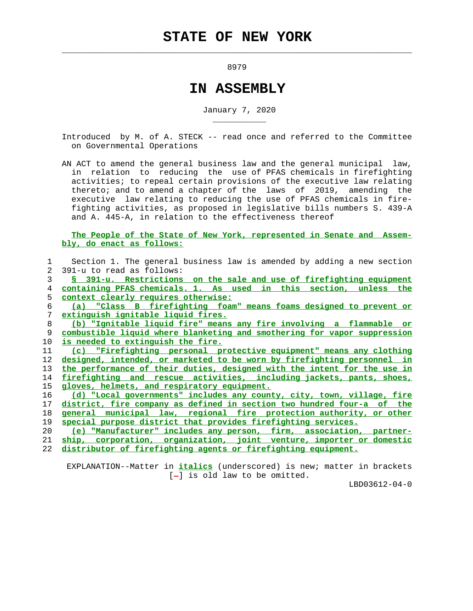$\mathcal{L}_\text{max} = \frac{1}{2} \sum_{i=1}^{n} \frac{1}{2} \sum_{i=1}^{n} \frac{1}{2} \sum_{i=1}^{n} \frac{1}{2} \sum_{i=1}^{n} \frac{1}{2} \sum_{i=1}^{n} \frac{1}{2} \sum_{i=1}^{n} \frac{1}{2} \sum_{i=1}^{n} \frac{1}{2} \sum_{i=1}^{n} \frac{1}{2} \sum_{i=1}^{n} \frac{1}{2} \sum_{i=1}^{n} \frac{1}{2} \sum_{i=1}^{n} \frac{1}{2} \sum_{i=1}^{n} \frac{1$ 

\_\_\_\_\_\_\_\_\_\_\_

8979

## **IN ASSEMBLY**

January 7, 2020

 Introduced by M. of A. STECK -- read once and referred to the Committee on Governmental Operations

 AN ACT to amend the general business law and the general municipal law, in relation to reducing the use of PFAS chemicals in firefighting activities; to repeal certain provisions of the executive law relating thereto; and to amend a chapter of the laws of 2019, amending the executive law relating to reducing the use of PFAS chemicals in fire fighting activities, as proposed in legislative bills numbers S. 439-A and A. 445-A, in relation to the effectiveness thereof

 **The People of the State of New York, represented in Senate and Assem bly, do enact as follows:**

|               | Section 1. The general business law is amended by adding a new section        |
|---------------|-------------------------------------------------------------------------------|
| $\mathcal{L}$ | 391-u to read as follows:                                                     |
| 3             | § 391-u. Restrictions on the sale and use of firefighting equipment           |
| 4             | containing PFAS chemicals. 1. As used in this section, unless the             |
| 5.            | context clearly requires otherwise:                                           |
| 6             | (a) "Class B firefighting foam" means foams designed to prevent or            |
| 7             | extinguish ignitable liquid fires.                                            |
| 8             | (b) "Ignitable liquid fire" means any fire involving a flammable or           |
| 9             | combustible liquid where blanketing and smothering for vapor suppression      |
| 10            | is needed to extinguish the fire.                                             |
| 11            | (c) "Firefighting personal protective equipment" means any clothing           |
| 12            | designed, intended, or marketed to be worn by firefighting personnel in       |
| 13            | the performance of their duties, designed with the intent for the use in      |
| 14            | firefighting and rescue activities, including jackets, pants, shoes,          |
| 15            | gloves, helmets, and respiratory equipment.                                   |
| 16            | (d) "Local governments" includes any county, city, town, village, fire        |
| 17            | <u>district, fire company as defined in section two hundred four-a of the</u> |
| 18            | general municipal law, regional fire protection authority, or other           |
| 19            | special purpose district that provides firefighting services.                 |
| 20            | (e) "Manufacturer" includes any person, firm, association, partner-           |
| 21            | ship, corporation, organization, joint venture, importer or domestic          |
| 22            | distributor of firefighting agents or firefighting equipment.                 |
|               |                                                                               |

 EXPLANATION--Matter in **italics** (underscored) is new; matter in brackets  $[-]$  is old law to be omitted.

LBD03612-04-0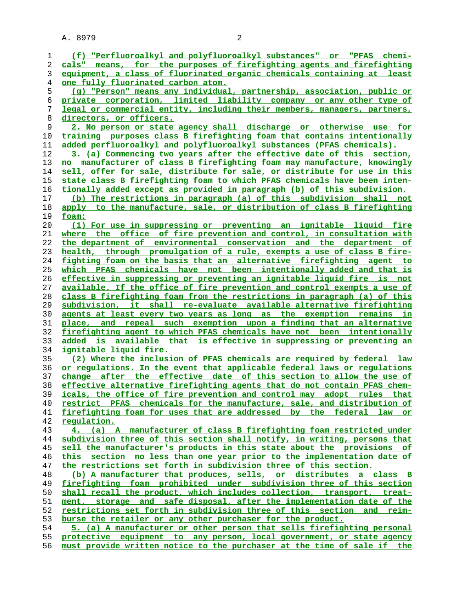A. 8979 2

**(f) "Perfluoroalkyl and polyfluoroalkyl substances" or "PFAS chemi- cals" means, for the purposes of firefighting agents and firefighting equipment, a class of fluorinated organic chemicals containing at least one fully fluorinated carbon atom. (g) "Person" means any individual, partnership, association, public or private corporation, limited liability company or any other type of legal or commercial entity, including their members, managers, partners, directors, or officers. 2. No person or state agency shall discharge or otherwise use for training purposes class B firefighting foam that contains intentionally added perfluoroalkyl and polyfluoroalkyl substances (PFAS chemicals). 3. (a) Commencing two years after the effective date of this section, no manufacturer of class B firefighting foam may manufacture, knowingly sell, offer for sale, distribute for sale, or distribute for use in this state class B firefighting foam to which PFAS chemicals have been inten- tionally added except as provided in paragraph (b) of this subdivision. (b) The restrictions in paragraph (a) of this subdivision shall not apply to the manufacture, sale, or distribution of class B firefighting foam: (1) For use in suppressing or preventing an ignitable liquid fire where the office of fire prevention and control, in consultation with the department of environmental conservation and the department of health, through promulgation of a rule, exempts a use of class B fire- fighting foam on the basis that an alternative firefighting agent to which PFAS chemicals have not been intentionally added and that is effective in suppressing or preventing an ignitable liquid fire is not available. If the office of fire prevention and control exempts a use of class B firefighting foam from the restrictions in paragraph (a) of this subdivision, it shall re-evaluate available alternative firefighting agents at least every two years as long as the exemption remains in place, and repeal such exemption upon a finding that an alternative firefighting agent to which PFAS chemicals have not been intentionally added is available that is effective in suppressing or preventing an ignitable liquid fire. (2) Where the inclusion of PFAS chemicals are required by federal law or regulations. In the event that applicable federal laws or regulations change after the effective date of this section to allow the use of effective alternative firefighting agents that do not contain PFAS chem- icals, the office of fire prevention and control may adopt rules that restrict PFAS chemicals for the manufacture, sale, and distribution of firefighting foam for uses that are addressed by the federal law or regulation. 4. (a) A manufacturer of class B firefighting foam restricted under subdivision three of this section shall notify, in writing, persons that sell the manufacturer's products in this state about the provisions of this section no less than one year prior to the implementation date of the restrictions set forth in subdivision three of this section. (b) A manufacturer that produces, sells, or distributes a class B firefighting foam prohibited under subdivision three of this section shall recall the product, which includes collection, transport, treat- ment, storage and safe disposal, after the implementation date of the restrictions set forth in subdivision three of this section and reim- burse the retailer or any other purchaser for the product.**

**5. (a) A manufacturer or other person that sells firefighting personal protective equipment to any person, local government, or state agency must provide written notice to the purchaser at the time of sale if the**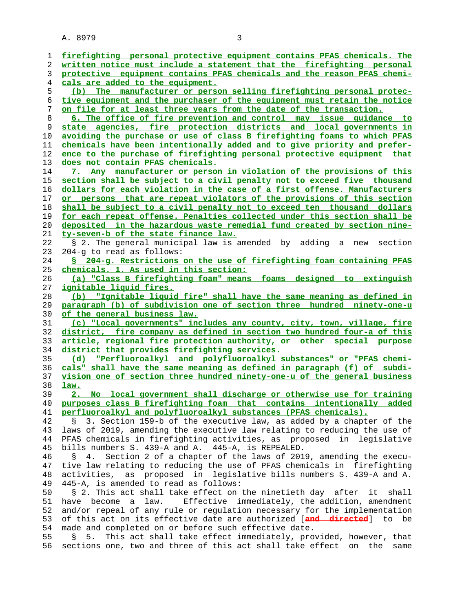A. 8979 3

| 1  | firefighting personal protective equipment contains PFAS chemicals. The     |
|----|-----------------------------------------------------------------------------|
| 2  | written notice must include a statement that the firefighting personal      |
| 3  | protective equipment contains PFAS chemicals and the reason PFAS chemi-     |
| 4  | cals are added to the equipment.                                            |
|    |                                                                             |
| 5  | (b) The manufacturer or person selling firefighting personal protec-        |
| 6  | tive equipment and the purchaser of the equipment must retain the notice    |
| 7  | on file for at least three years from the date of the transaction.          |
| 8  | 6. The office of fire prevention and control may issue guidance to          |
| 9  | state agencies, fire protection districts and local governments in          |
| 10 |                                                                             |
|    | avoiding the purchase or use of class B firefighting foams to which PFAS    |
| 11 | chemicals have been intentionally added and to give priority and prefer-    |
| 12 | ence to the purchase of firefighting personal protective equipment that     |
| 13 | does not contain PFAS chemicals.                                            |
| 14 | 7. Any manufacturer or person in violation of the provisions of this        |
| 15 | section shall be subject to a civil penalty not to exceed five thousand     |
| 16 | dollars for each violation in the case of a first offense. Manufacturers    |
|    |                                                                             |
| 17 | or persons that are repeat violators of the provisions of this section      |
| 18 | shall be subject to a civil penalty not to exceed ten thousand dollars      |
| 19 | for each repeat offense. Penalties collected under this section shall be    |
| 20 | deposited in the hazardous waste remedial fund created by section nine-     |
| 21 | ty-seven-b of the state finance law.                                        |
| 22 | § 2. The general municipal law is amended by adding a new<br>section        |
| 23 | 204-g to read as follows:                                                   |
|    |                                                                             |
| 24 | § 204-g. Restrictions on the use of firefighting foam containing PFAS       |
| 25 | chemicals. 1. As used in this section:                                      |
| 26 | (a) "Class B firefighting foam" means foams designed to extinguish          |
| 27 | ignitable liquid fires.                                                     |
| 28 | "Ignitable liquid fire" shall have the same meaning as defined in<br>(b)    |
| 29 | paragraph (b) of subdivision one of section three hundred ninety-one-u      |
| 30 | of the general business law.                                                |
|    |                                                                             |
| 31 | (c) "Local governments" includes any county, city, town, village, fire      |
| 32 | district, fire company as defined in section two hundred four-a of this     |
| 33 | article, regional fire protection authority, or other special purpose       |
| 34 | district that provides firefighting services.                               |
| 35 | "Perfluoroalkyl and polyfluoroalkyl substances" or "PFAS chemi-<br>(d)      |
| 36 | cals" shall have the same meaning as defined in paragraph (f) of subdi-     |
| 37 | vision one of section three hundred ninety-one-u of the general business    |
| 38 | law.                                                                        |
| 39 | 2. No local government shall discharge or otherwise use for training        |
|    |                                                                             |
| 40 | purposes class B firefighting foam that contains intentionally added        |
| 41 | perfluoroalkyl and polyfluoroalkyl substances (PFAS chemicals).             |
| 42 | 3. Section 159-b of the executive law, as added by a chapter of the<br>S.   |
| 43 | laws of 2019, amending the executive law relating to reducing the use of    |
| 44 | PFAS chemicals in firefighting activities, as proposed in legislative       |
| 45 | bills numbers S. 439-A and A. 445-A, is REPEALED.                           |
| 46 | Section 2 of a chapter of the laws of 2019, amending the execu-<br>Š.<br>4. |
|    |                                                                             |
| 47 | tive law relating to reducing the use of PFAS chemicals in firefighting     |
| 48 | activities, as proposed in legislative bills numbers S. 439-A and A.        |
| 49 | 445-A, is amended to read as follows:                                       |
| 50 | § 2. This act shall take effect on the ninetieth day after<br>it<br>shall   |
| 51 | Effective immediately, the addition, amendment<br>have become a law.        |
| 52 | and/or repeal of any rule or regulation necessary for the implementation    |
| 53 | of this act on its effective date are authorized [and directed] to be       |
| 54 | made and completed on or before such effective date.                        |
|    |                                                                             |
| 55 | This act shall take effect immediately, provided, however, that<br>S.<br>5. |
| 56 | sections one, two and three of this act shall take effect on<br>the<br>same |
|    |                                                                             |